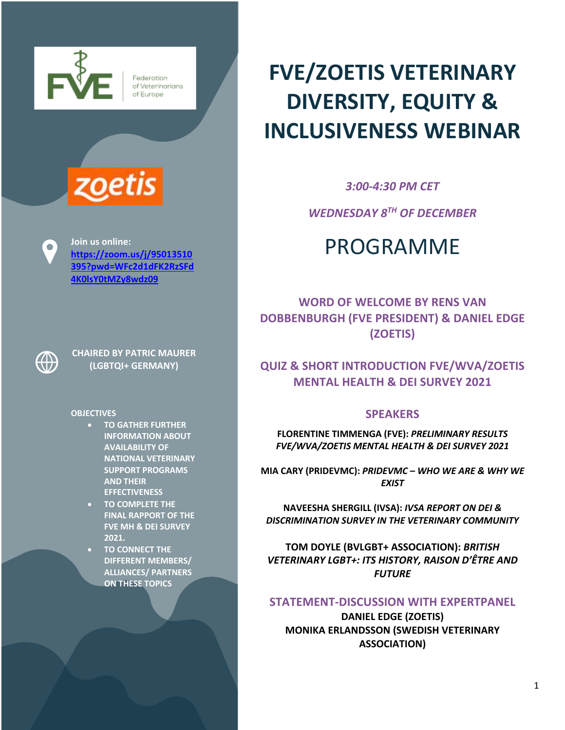



**https://zoom.us/j/95013510 395?pwd=WFc2d1dFK2RzSFd 4K0lsY0tMZy8wdz09**



 $\bullet$ 

**CHAIRED BY PATRIC MAURER** 

#### **OBJECTIVES**

- **TO GATHER FURTHER INFORMATION ABOUT AVAILABILITY OF NATIONAL VETERINARY SUPPORT PROGRAMS AND THEIR EFFECTIVENESS**
- **TO COMPLETE THE FINAL RAPPORT OF THE FVE MH & DEI SURVEY 2021.**
- **TO CONNECT THE DIFFERENT MEMBERS/ ALLIANCES/ PARTNERS ON THESE TOPICS**

# **FVE/ZOETIS VETERINARY DIVERSITY, EQUITY & INCLUSIVENESS WEBINAR**

*3:00-4:30 PM CET*

*WEDNESDAY 8TH OF DECEMBER*

## **Doin us online:**<br> **PROGRAMME**

**WORD OF WELCOME BY RENS VAN DOBBENBURGH (FVE PRESIDENT) & DANIEL EDGE (ZOETIS)**

**(LGBTQI+ GERMANY) QUIZ & SHORT INTRODUCTION FVE/WVA/ZOETIS MENTAL HEALTH & DEI SURVEY 2021**

## **SPEAKERS**

**FLORENTINE TIMMENGA (FVE):** *PRELIMINARY RESULTS FVE/WVA/ZOETIS MENTAL HEALTH & DEI SURVEY 2021*

**MIA CARY (PRIDEVMC):** *PRIDEVMC – WHO WE ARE & WHY WE EXIST*

**NAVEESHA SHERGILL (IVSA):** *IVSA REPORT ON DEI & DISCRIMINATION SURVEY IN THE VETERINARY COMMUNITY*

**TOM DOYLE (BVLGBT+ ASSOCIATION):** *BRITISH VETERINARY LGBT+: ITS HISTORY, RAISON D'ÊTRE AND FUTURE*

## **STATEMENT-DISCUSSION WITH EXPERTPANEL**

**DANIEL EDGE (ZOETIS) MONIKA ERLANDSSON (SWEDISH VETERINARY ASSOCIATION)**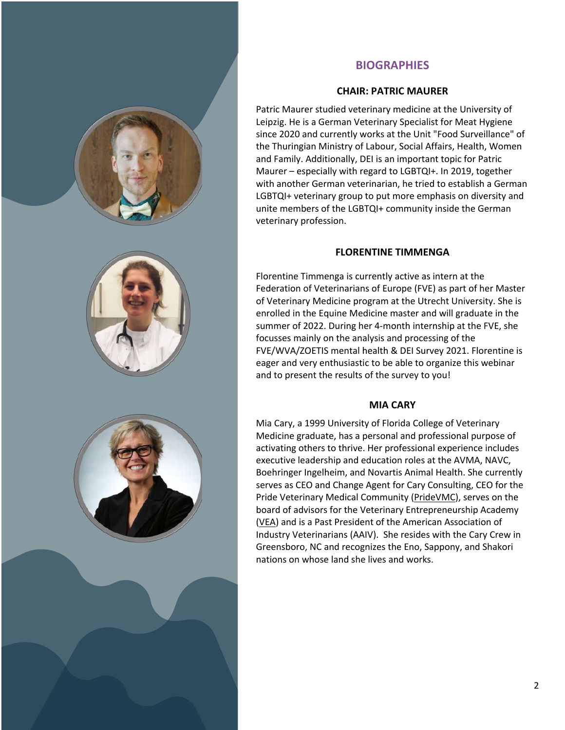

## **BIOGRAPHIES**

#### **CHAIR: PATRIC MAURER**

Patric Maurer studied veterinary medicine at the University of Leipzig. He is a German Veterinary Specialist for Meat Hygiene since 2020 and currently works at the Unit "Food Surveillance" of the Thuringian Ministry of Labour, Social Affairs, Health, Women and Family. Additionally, DEI is an important topic for Patric Maurer – especially with regard to LGBTQI+. In 2019, together with another German veterinarian, he tried to establish a German LGBTQI+ veterinary group to put more emphasis on diversity and unite members of the LGBTQI+ community inside the German veterinary profession.

#### **FLORENTINE TIMMENGA**

Florentine Timmenga is currently active as intern at the Federation of Veterinarians of Europe (FVE) as part of her Master of Veterinary Medicine program at the Utrecht University. She is enrolled in the Equine Medicine master and will graduate in the summer of 2022. During her 4-month internship at the FVE, she focusses mainly on the analysis and processing of the FVE/WVA/ZOETIS mental health & DEI Survey 2021. Florentine is eager and very enthusiastic to be able to organize this webinar and to present the results of the survey to you!

#### **MIA CARY**

Mia Cary, a 1999 University of Florida College of Veterinary Medicine graduate, has a personal and professional purpose of activating others to thrive. Her professional experience includes executive leadership and education roles at the AVMA, NAVC, Boehringer Ingelheim, and Novartis Animal Health. She currently serves as CEO and Change Agent for Cary Consulting, CEO for the Pride Veterinary Medical Community (PrideVMC), serves on the board of advisors for the Veterinary Entrepreneurship Academy (VEA) and is a Past President of the American Association of Industry Veterinarians (AAIV). She resides with the Cary Crew in Greensboro, NC and recognizes the Eno, Sappony, and Shakori nations on whose land she lives and works.